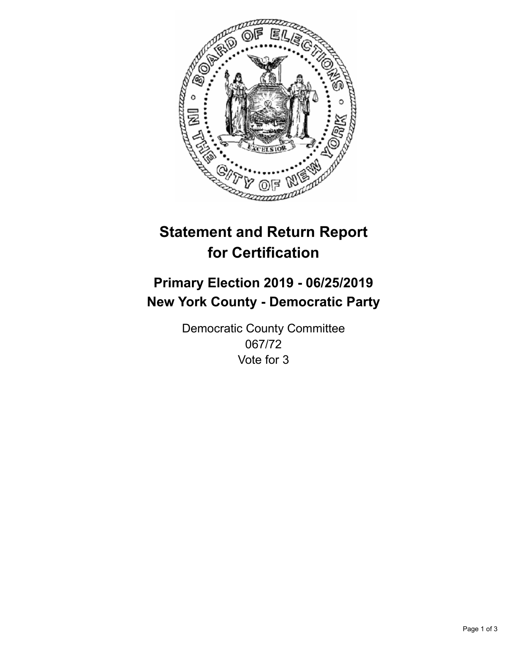

## **Statement and Return Report for Certification**

## **Primary Election 2019 - 06/25/2019 New York County - Democratic Party**

Democratic County Committee 067/72 Vote for 3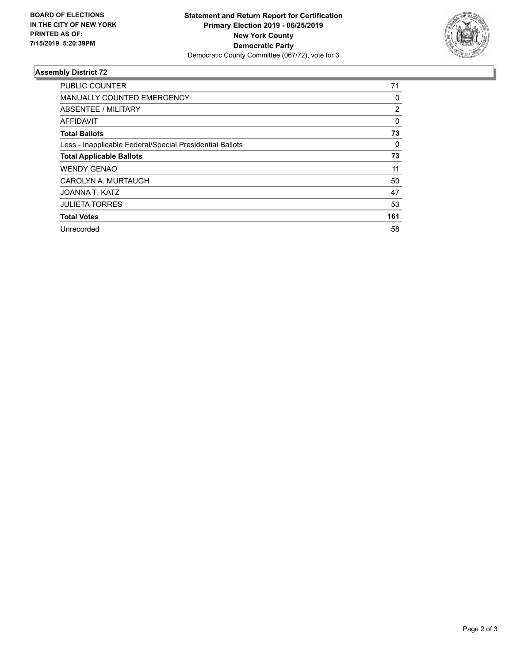

## **Assembly District 72**

| <b>PUBLIC COUNTER</b>                                    | 71       |
|----------------------------------------------------------|----------|
| <b>MANUALLY COUNTED EMERGENCY</b>                        | 0        |
| ABSENTEE / MILITARY                                      | 2        |
| AFFIDAVIT                                                | $\Omega$ |
| <b>Total Ballots</b>                                     | 73       |
| Less - Inapplicable Federal/Special Presidential Ballots | 0        |
| <b>Total Applicable Ballots</b>                          | 73       |
| <b>WENDY GENAO</b>                                       | 11       |
| CAROLYN A. MURTAUGH                                      | 50       |
| JOANNA T. KATZ                                           | 47       |
| <b>JULIETA TORRES</b>                                    | 53       |
| <b>Total Votes</b>                                       | 161      |
| Unrecorded                                               | 58       |